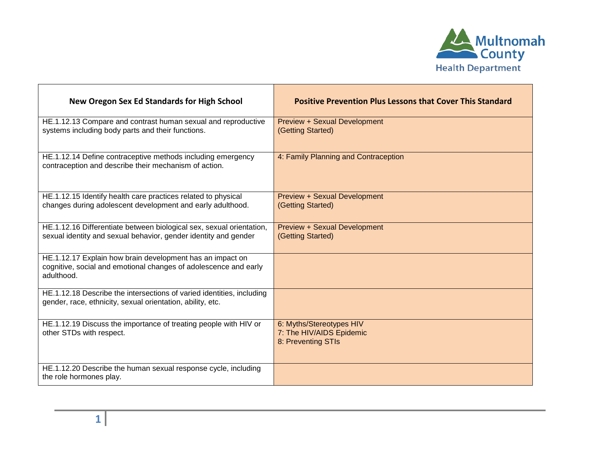

| <b>New Oregon Sex Ed Standards for High School</b>                                                                                          | <b>Positive Prevention Plus Lessons that Cover This Standard</b>           |
|---------------------------------------------------------------------------------------------------------------------------------------------|----------------------------------------------------------------------------|
| HE.1.12.13 Compare and contrast human sexual and reproductive<br>systems including body parts and their functions.                          | <b>Preview + Sexual Development</b><br>(Getting Started)                   |
| HE.1.12.14 Define contraceptive methods including emergency<br>contraception and describe their mechanism of action.                        | 4: Family Planning and Contraception                                       |
| HE.1.12.15 Identify health care practices related to physical<br>changes during adolescent development and early adulthood.                 | <b>Preview + Sexual Development</b><br>(Getting Started)                   |
| HE.1.12.16 Differentiate between biological sex, sexual orientation,<br>sexual identity and sexual behavior, gender identity and gender     | <b>Preview + Sexual Development</b><br>(Getting Started)                   |
| HE.1.12.17 Explain how brain development has an impact on<br>cognitive, social and emotional changes of adolescence and early<br>adulthood. |                                                                            |
| HE.1.12.18 Describe the intersections of varied identities, including<br>gender, race, ethnicity, sexual orientation, ability, etc.         |                                                                            |
| HE.1.12.19 Discuss the importance of treating people with HIV or<br>other STDs with respect.                                                | 6: Myths/Stereotypes HIV<br>7: The HIV/AIDS Epidemic<br>8: Preventing STIs |
| HE.1.12.20 Describe the human sexual response cycle, including<br>the role hormones play.                                                   |                                                                            |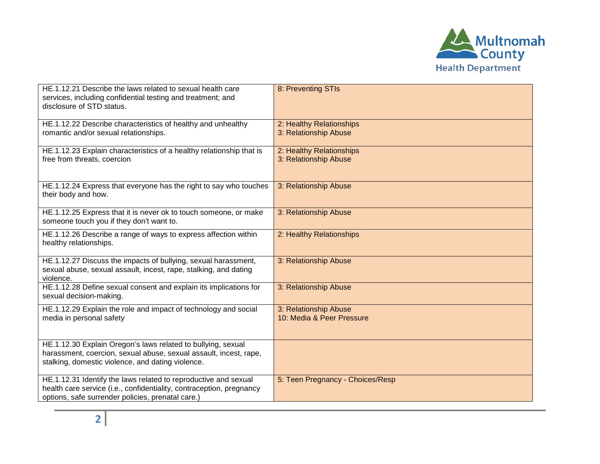

| HE.1.12.21 Describe the laws related to sexual health care<br>services, including confidential testing and treatment; and<br>disclosure of STD status.                                       | 8: Preventing STIs                                 |
|----------------------------------------------------------------------------------------------------------------------------------------------------------------------------------------------|----------------------------------------------------|
| HE.1.12.22 Describe characteristics of healthy and unhealthy<br>romantic and/or sexual relationships.                                                                                        | 2: Healthy Relationships<br>3: Relationship Abuse  |
| HE.1.12.23 Explain characteristics of a healthy relationship that is<br>free from threats, coercion                                                                                          | 2: Healthy Relationships<br>3: Relationship Abuse  |
| HE.1.12.24 Express that everyone has the right to say who touches<br>their body and how.                                                                                                     | 3: Relationship Abuse                              |
| HE.1.12.25 Express that it is never ok to touch someone, or make<br>someone touch you if they don't want to.                                                                                 | 3: Relationship Abuse                              |
| HE.1.12.26 Describe a range of ways to express affection within<br>healthy relationships.                                                                                                    | 2: Healthy Relationships                           |
| HE.1.12.27 Discuss the impacts of bullying, sexual harassment,<br>sexual abuse, sexual assault, incest, rape, stalking, and dating<br>violence.                                              | 3: Relationship Abuse                              |
| HE.1.12.28 Define sexual consent and explain its implications for<br>sexual decision-making.                                                                                                 | 3: Relationship Abuse                              |
| HE.1.12.29 Explain the role and impact of technology and social<br>media in personal safety                                                                                                  | 3: Relationship Abuse<br>10: Media & Peer Pressure |
| HE.1.12.30 Explain Oregon's laws related to bullying, sexual<br>harassment, coercion, sexual abuse, sexual assault, incest, rape,<br>stalking, domestic violence, and dating violence.       |                                                    |
| HE.1.12.31 Identify the laws related to reproductive and sexual<br>health care service (i.e., confidentiality, contraception, pregnancy<br>options, safe surrender policies, prenatal care.) | 5: Teen Pregnancy - Choices/Resp                   |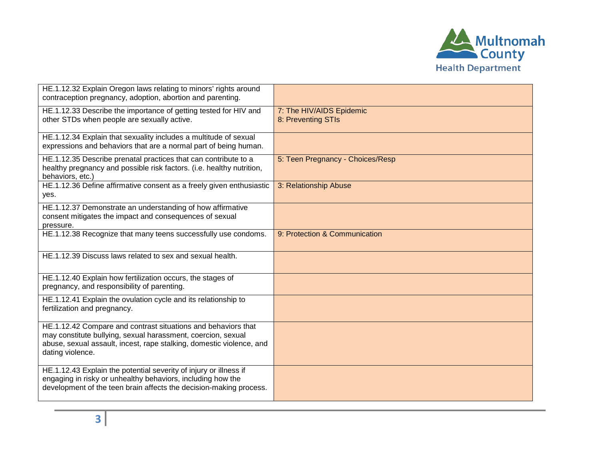

| HE.1.12.32 Explain Oregon laws relating to minors' rights around<br>contraception pregnancy, adoption, abortion and parenting.                                                                                            |                                                |
|---------------------------------------------------------------------------------------------------------------------------------------------------------------------------------------------------------------------------|------------------------------------------------|
| HE.1.12.33 Describe the importance of getting tested for HIV and<br>other STDs when people are sexually active.                                                                                                           | 7: The HIV/AIDS Epidemic<br>8: Preventing STIs |
| HE.1.12.34 Explain that sexuality includes a multitude of sexual<br>expressions and behaviors that are a normal part of being human.                                                                                      |                                                |
| HE.1.12.35 Describe prenatal practices that can contribute to a<br>healthy pregnancy and possible risk factors. (i.e. healthy nutrition,<br>behaviors, etc.)                                                              | 5: Teen Pregnancy - Choices/Resp               |
| HE.1.12.36 Define affirmative consent as a freely given enthusiastic<br>yes.                                                                                                                                              | 3: Relationship Abuse                          |
| HE.1.12.37 Demonstrate an understanding of how affirmative<br>consent mitigates the impact and consequences of sexual<br>pressure.                                                                                        |                                                |
| HE.1.12.38 Recognize that many teens successfully use condoms.                                                                                                                                                            | 9: Protection & Communication                  |
| HE.1.12.39 Discuss laws related to sex and sexual health.                                                                                                                                                                 |                                                |
| HE.1.12.40 Explain how fertilization occurs, the stages of<br>pregnancy, and responsibility of parenting.                                                                                                                 |                                                |
| HE.1.12.41 Explain the ovulation cycle and its relationship to<br>fertilization and pregnancy.                                                                                                                            |                                                |
| HE.1.12.42 Compare and contrast situations and behaviors that<br>may constitute bullying, sexual harassment, coercion, sexual<br>abuse, sexual assault, incest, rape stalking, domestic violence, and<br>dating violence. |                                                |
| HE.1.12.43 Explain the potential severity of injury or illness if<br>engaging in risky or unhealthy behaviors, including how the<br>development of the teen brain affects the decision-making process.                    |                                                |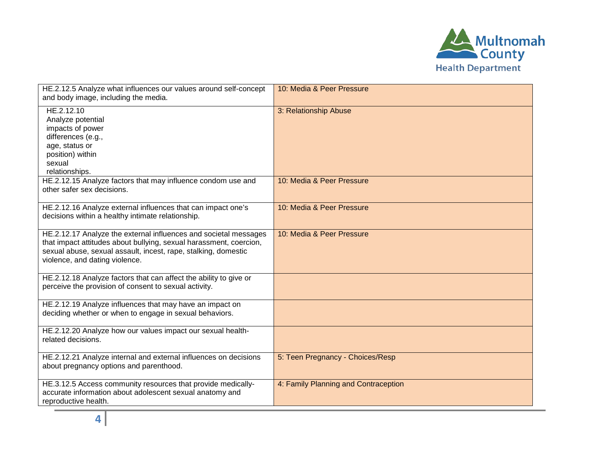

| HE.2.12.5 Analyze what influences our values around self-concept<br>and body image, including the media.                                                                                                                                   | 10: Media & Peer Pressure            |
|--------------------------------------------------------------------------------------------------------------------------------------------------------------------------------------------------------------------------------------------|--------------------------------------|
| HE.2.12.10<br>Analyze potential<br>impacts of power<br>differences (e.g.,<br>age, status or<br>position) within<br>sexual<br>relationships.                                                                                                | 3: Relationship Abuse                |
| HE.2.12.15 Analyze factors that may influence condom use and<br>other safer sex decisions.                                                                                                                                                 | 10: Media & Peer Pressure            |
| HE.2.12.16 Analyze external influences that can impact one's<br>decisions within a healthy intimate relationship.                                                                                                                          | 10: Media & Peer Pressure            |
| HE.2.12.17 Analyze the external influences and societal messages<br>that impact attitudes about bullying, sexual harassment, coercion,<br>sexual abuse, sexual assault, incest, rape, stalking, domestic<br>violence, and dating violence. | 10: Media & Peer Pressure            |
| HE.2.12.18 Analyze factors that can affect the ability to give or<br>perceive the provision of consent to sexual activity.                                                                                                                 |                                      |
| HE.2.12.19 Analyze influences that may have an impact on<br>deciding whether or when to engage in sexual behaviors.                                                                                                                        |                                      |
| HE.2.12.20 Analyze how our values impact our sexual health-<br>related decisions.                                                                                                                                                          |                                      |
| HE.2.12.21 Analyze internal and external influences on decisions<br>about pregnancy options and parenthood.                                                                                                                                | 5: Teen Pregnancy - Choices/Resp     |
| HE.3.12.5 Access community resources that provide medically-<br>accurate information about adolescent sexual anatomy and<br>reproductive health.                                                                                           | 4: Family Planning and Contraception |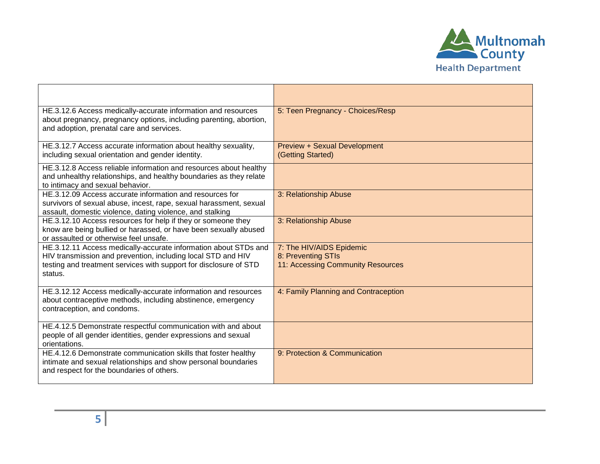

| HE.3.12.6 Access medically-accurate information and resources<br>about pregnancy, pregnancy options, including parenting, abortion,<br>and adoption, prenatal care and services.                                | 5: Teen Pregnancy - Choices/Resp                                                    |
|-----------------------------------------------------------------------------------------------------------------------------------------------------------------------------------------------------------------|-------------------------------------------------------------------------------------|
| HE.3.12.7 Access accurate information about healthy sexuality,<br>including sexual orientation and gender identity.                                                                                             | <b>Preview + Sexual Development</b><br>(Getting Started)                            |
| HE.3.12.8 Access reliable information and resources about healthy<br>and unhealthy relationships, and healthy boundaries as they relate<br>to intimacy and sexual behavior.                                     |                                                                                     |
| HE.3.12.09 Access accurate information and resources for<br>survivors of sexual abuse, incest, rape, sexual harassment, sexual<br>assault, domestic violence, dating violence, and stalking                     | 3: Relationship Abuse                                                               |
| HE.3.12.10 Access resources for help if they or someone they<br>know are being bullied or harassed, or have been sexually abused<br>or assaulted or otherwise feel unsafe.                                      | 3: Relationship Abuse                                                               |
| HE.3.12.11 Access medically-accurate information about STDs and<br>HIV transmission and prevention, including local STD and HIV<br>testing and treatment services with support for disclosure of STD<br>status. | 7: The HIV/AIDS Epidemic<br>8: Preventing STIs<br>11: Accessing Community Resources |
| HE.3.12.12 Access medically-accurate information and resources<br>about contraceptive methods, including abstinence, emergency<br>contraception, and condoms.                                                   | 4: Family Planning and Contraception                                                |
| HE.4.12.5 Demonstrate respectful communication with and about<br>people of all gender identities, gender expressions and sexual<br>orientations.                                                                |                                                                                     |
| HE.4.12.6 Demonstrate communication skills that foster healthy<br>intimate and sexual relationships and show personal boundaries<br>and respect for the boundaries of others.                                   | 9: Protection & Communication                                                       |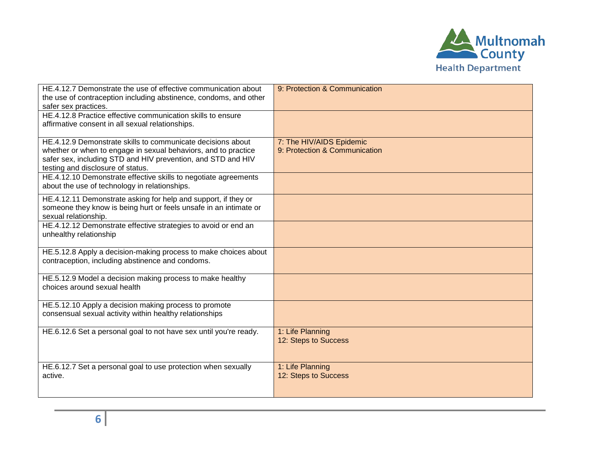

| HE.4.12.7 Demonstrate the use of effective communication about<br>the use of contraception including abstinence, condoms, and other<br>safer sex practices.                                                                        | 9: Protection & Communication                             |
|------------------------------------------------------------------------------------------------------------------------------------------------------------------------------------------------------------------------------------|-----------------------------------------------------------|
| HE.4.12.8 Practice effective communication skills to ensure<br>affirmative consent in all sexual relationships.                                                                                                                    |                                                           |
| HE.4.12.9 Demonstrate skills to communicate decisions about<br>whether or when to engage in sexual behaviors, and to practice<br>safer sex, including STD and HIV prevention, and STD and HIV<br>testing and disclosure of status. | 7: The HIV/AIDS Epidemic<br>9: Protection & Communication |
| HE.4.12.10 Demonstrate effective skills to negotiate agreements<br>about the use of technology in relationships.                                                                                                                   |                                                           |
| HE.4.12.11 Demonstrate asking for help and support, if they or<br>someone they know is being hurt or feels unsafe in an intimate or<br>sexual relationship.                                                                        |                                                           |
| HE.4.12.12 Demonstrate effective strategies to avoid or end an<br>unhealthy relationship                                                                                                                                           |                                                           |
| HE.5.12.8 Apply a decision-making process to make choices about<br>contraception, including abstinence and condoms.                                                                                                                |                                                           |
| HE.5.12.9 Model a decision making process to make healthy<br>choices around sexual health                                                                                                                                          |                                                           |
| HE.5.12.10 Apply a decision making process to promote<br>consensual sexual activity within healthy relationships                                                                                                                   |                                                           |
| HE.6.12.6 Set a personal goal to not have sex until you're ready.                                                                                                                                                                  | 1: Life Planning<br>12: Steps to Success                  |
| HE.6.12.7 Set a personal goal to use protection when sexually<br>active.                                                                                                                                                           | 1: Life Planning<br>12: Steps to Success                  |